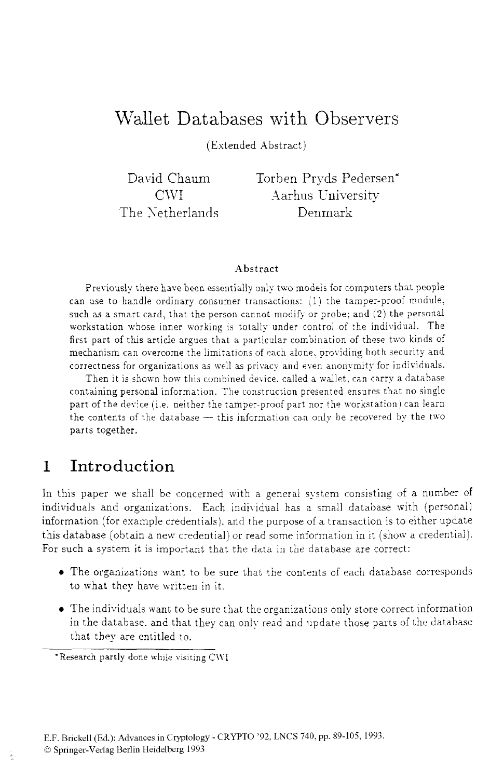# Wallet Databases with Observers

(Extended Abstract)

The Netherlands Denmark

David Chaum Torben Pryds Pedersen' CIVI Aarhus University

#### Abstract

Previously there have been essentially only two models for computers that people can use to handle ordinary consumer transactions:  $(1)$  the tamper-proof module, such as a smart card, that the person cannot modify or probe; and (2) the personal workstation whose inner working is totally under control of the individual. The first part of this article argues that a particular combination of these *two* kinds of mechanism can overcome the limitations of each alone. providing both security and correctness for organizations as well as privacy and even anonymity for individuals.

Then it is shown how this combined device. called a wallet, can carry a database containing personal information. The construction presenred ensures that no single part of the device (i.e. neither the tamper-proof part nor the workstation) can learn the contents of the database - this information can only be recovered by the two parts together.

# **1** Introduction

In this paper we shall be concerned with a general system consisting of a number of individuals and organizations. Each individual has a small database with (personal) information (for example credentials). and the purpose of a transaction is to either update this database (obtain a new credential) or read some information in it (show a credential). For such a system it is important that the data in the database are correct:

- The organizations want to be sure that the contents of each database corresponds to what they have written in it.
- The individuals want to be sure that the organizations only store correct information in the database. and that they can only read and update those parts of the database that they are entitled *to.*

<sup>&#</sup>x27;Research **partly** done while visiting CIYI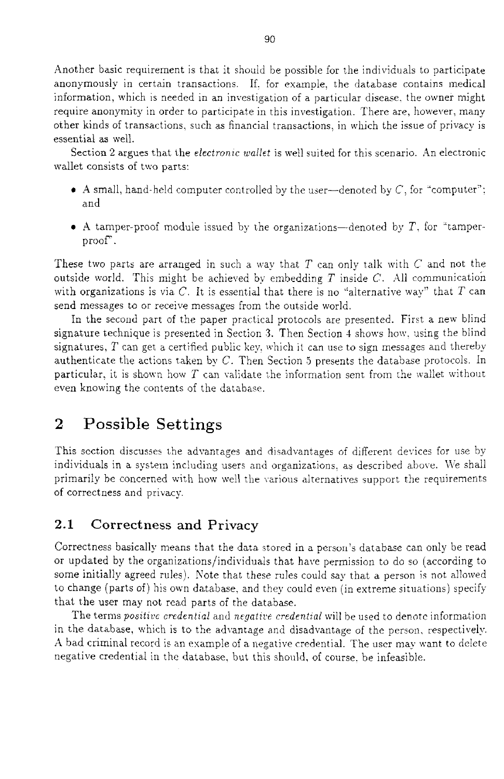Another basic requirement is that it should be possible for the individuals to participate anonymously in certain transactions. If. for example, the database contains medical information, which is needed in an investigation of a particular disease. the owner might require anonymity in order to participate in this investigation. There are, however, many other kinds of transactions, such as financial transactions, in which the issue of privacy is essential **a,s** well.

Section 2 argues that the *electronic wallet* is well suited for this scenario. An electronic wallet consists of two parts:

- $\bullet$  **A** small, hand-held computer controlled by the user-denoted by  $C$ , for "computer"; and
- $\bullet$  A tamper-proof module issued by the organizations-denoted by  $T$ , for "tamperproof.

These two parts are arranged in such a way that T can only talk with *C* and not the outside world. This might be achieved bv embedding *T* inside C. XI1 communication with organizations is via  $C$ . It is essential that there is no "alternative way" that  $T$  can send messages to or receive messages from the outside world.

In the second part of the paper practical protocols are presented. First a new blind signature technique is presented in Section 3. Then Section 4 shows how, using the blind signatures,  $T$  can get a certified public key, which it can use to sign messages and thereby authenticate the actions taken b\: C. Then Section *5* presents the database protocols. In particular, it is shown how  $T$  can validate the information sent from the wallet without even knowing the contents of the database.

# *2* Possible Settings

This section discusses the advantages and disadvantages of different devices for use by individuals in a system including users and organizations, as described above. We shall primarily be concerned with how well the Yarious alternatives support the requirementas of correctness and privacy.

# **2.1 Correctness** and Privacy

Correctness basically means that the data stored in a persou's database can only be read or updated by the organizations/individuals that have permission to do so (according to some initially agreed rules). Note that these rules could say that a person is not allowed to change (parts of) his own database. and they could even (in extreme situations) specify that the user may not read parts of the database.

The terms *posztzvc crcdentzul* and *neyatiw credential* will be used *to* denotc information in the database. which is to the advantage and disadvmtage of the person, respectively. A bad criminal record is an example of a negative credential. The user may want to delete negative credential in the database, but this should, of course, be infeasible.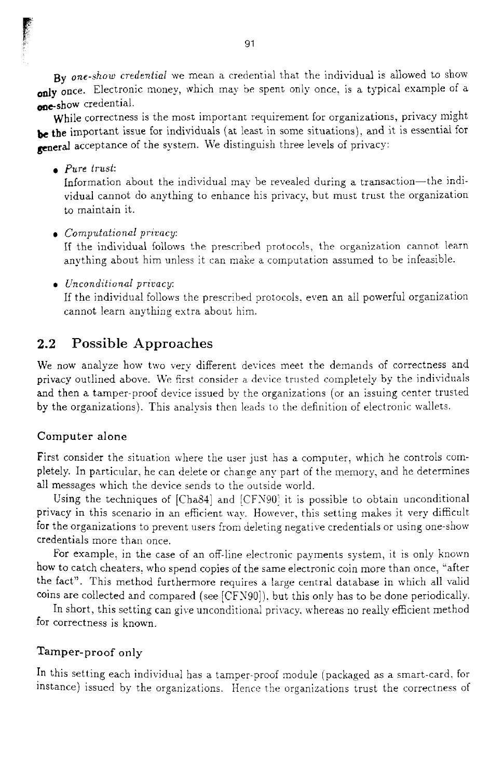By one-show credential we mean a credential that the individual is allowed to show only once. Electronic money, which may be spent only once, is a typical example of a **ane-show** credential.

While correctness is the most important requirement for organizations, privacy might **be the** important issue for individuals (at !east in some situations), and it is essential for **Feneral** acceptance of the system. We distinguish three levels of privacy:

*Pure trust:* 

Information about the individual may be revealed during a transaction-the individual cannot do anything *to* enhance his privacy, but must trust the organization to maintain it.

*Computatio.na1* privacy:

If the individual follows the prescribed protocols, the organization cannot learn anything about him unless it can make a computation assumed to be infeasible.

*Unconditional privacy:* 

If the individual follows the prescribed protocols, even an all powerful organization cannot learn anything extra about him.

## **2.2** Possible Approaches

We now analyze how two very different devices meet the demands of correctness and privacy outlined above. We first consider a device trusted completely by the individuals and then a tamper-proof device issued by the organizations (or an issuing center trusted by the organizations). This analysis then leads to the definition of electronic wallets.

#### Computer alone

First consider the situation where the user just has a computer, which he controls completely. In particular, he can delete or change any part of the memory, and he determines all messages which the device sends to the outside world.

Using the techniques of [Cha84] and [CFN90] it is possible to obtain unconditional privacy in this scenario in an efficient way. However, this setting makes it very difficult for the organizations to prevent users from deleting negative credentials or using one-show credentials more than once.

For example, in the case of an off-line electronic payments system, it is only known how to catch cheaters, who spend copies of the same electronic coin more than once, "after the fact". This method furthermore requires a large central database in which all valid coins are collected and compared (see [CFNSO]). but this only has to be done periodically.

In short, this setting can give unconditional privacy. whereas no really efficient method for correctness is known.

#### **Tamper-proof only**

In this setting each individual has a tamper-proof module (packaged as a smart-card. for instance) issued by the organizations. Hence the organizations trust the correctness of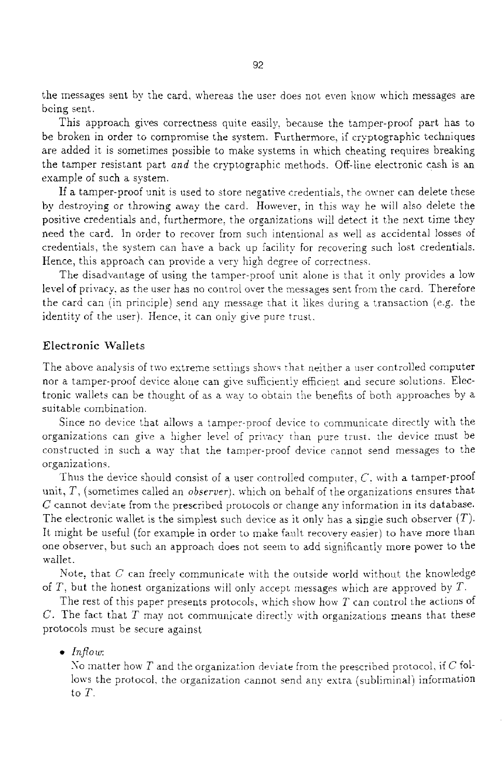the messages sent by the card, whereas the user does not even know which messages are bcing sent.

This approach gives correctness quite easily. because the tamper-proof part has to be broken in order *to* compromise the system. Furthermore, if cryptographic techniques are added it is sometimes possible to make systems in which cheating requires breaking the tamper resistant part *and* the cryptographic methods. Off-line electronic cash is an example of such a system.

If a tamper-proof unit is used to store negative credentials, the owner can delete these by destroying or throwing away the card. However, in this way he will also delete the positive credentials and, furthermore: the organizations will detect it the next time they need the card. In order to recover from such intentional as well as accidental losses of credentials, the system can have a back up facility for recovering such lost credentials. Hence, this approach can provide a very high degree of correctness.

The disadvantage of using the tamper-proof unit alone is that it only provides a low level of privacy. as the user has no control over the messages sent from the card. Therefore the card can (in principle) send any message that it likes during a transaction (e.g. the identity of the user). Hence, it can only give pure trust.

#### $Electronic$  Wallets

The above analysis of two extreme settings shows that neither a user controlled computer nor a tamper-proof device alone can give sufficiently efficient and secure solutions. Electronic wallets can be thought of as a way to obtain the benefits of both approaches by a suitable combination.

Since no device that ailows a tamppr-proof device *to* communicate directly with the organizations can give a higher level of privacy than pure trust, the device must be constructed in such a way that rhe tamper-proof device cannot send messages to the organizations.

Thus the device should consist of a user controlled computer,  $C$ , with a tamper-proof unit, T, (sometimes called an *observer).* which on behalf of the organizations ensures that *C* cannot deviate from the prescribed protocols or change any information in its database. The electronic wallet is the simplest such device as it only has a single such observer *(T).*  It might be useful (for example in order to make fault recovery easier) to have more than one observer, but such an approach does not seem to add significantly more power to the wallet.

Note, that  $C$  can freely communicate with the outside world without the knowledge of *T*, but the honest organizations will only accept messages which are approved by *T*.

The rest of this paper presents protocols. which show how *T* can control the actions of  $C$ . The fact that  $T$  may not communicate directly with organizations means that these protocols must be secure against

#### *0 mfiow:*

*No* matter how *T* and the organization deviate from the prescribed protocol, if *C* follows the protocol, the organization cannot send any extra (subliminal) information to T.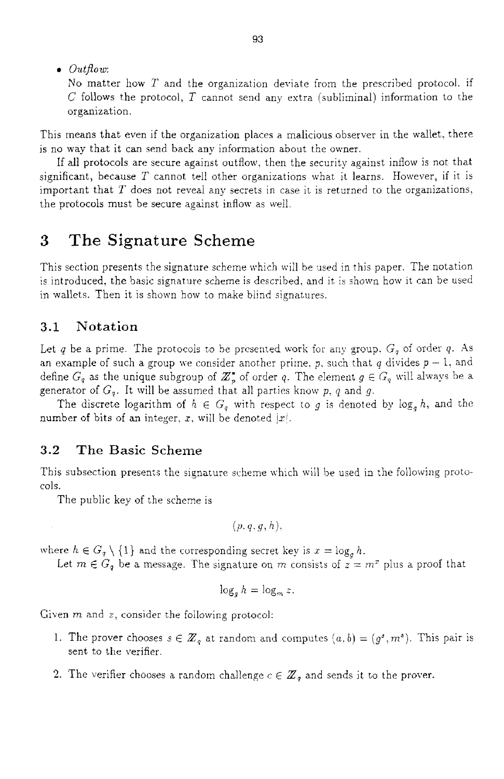$\bullet$  *Outflow:* 

No matter how  $T$  and the organization deviate from the prescribed protocol. if C follows the protocol, *T* cannot send any extra (subliminal) information to the organization.

This means that even if the organization places a malicious observer in the wallet, there is no way that it can send **back** any information about the owner.

If all protocols are secure against outflow, then the security against inflow is not that significant, because *T* cannot tell other organizations what it learns. However, if it is important that  $T$  does not reveal any secrets in case it is returned to the organizations, the protocols must be secure against inflow as we!l.

# **3** The Signature Scheme

This section presents the signature scheme which will be used in this paper. The notation is introduced, the basic signature scheme is described, and it is shown how it can be used in wallets. Then it is shown how to make blind signatures.

### **3.1** Notation

Let q be a prime. The protocols to be presented work for any group,  $G_q$  of order q. As an example of such a group we consider another prime, p, such that  $q$  divides  $p - 1$ , and define  $G_q$  as the unique subgroup of  $\mathbb{Z}_p^*$  of order q. The element  $g \in G_q$  will always be a generator of  $G_q$ . It will be assumed that all parties know  $p$ ,  $q$  and  $g$ .

The discrete logarithm of  $h \in G_q$  with respect to g is denoted by  $\log_q h$ , and the number of bits of an integer,  $x$ , will be denoted  $|x|$ .

## **3.2 The** Basic Scheme

This subsection presents the signature scheme which will be used in the following protocols.

The public key of the scheme is

$$
(p,q,g,h),
$$

where  $h \in G_q \setminus \{1\}$  and the corresponding secret key is  $x = \log_q h$ .

Let  $m \in G_q$  be a message. The signature on *m* consists of  $z = m^x$  plus a proof that

$$
\log_q h = \log_m z.
$$

Given *m* and *z*, consider the following protocol:

- 1. The prover chooses  $s \in \mathbb{Z}_q$  at random and computes  $(a, b) = (g^s, m^s)$ . This pair is sent to the verifier.
- 2. The verifier chooses a random challenge  $c \in \mathbb{Z}_q$  and sends it to the prover.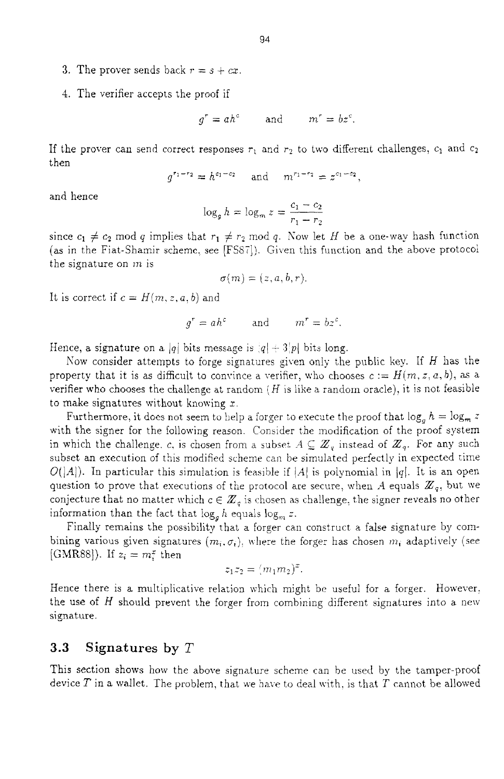- **3.** The prover sends back  $r = s + cx$ .
- 4. The verifier accepts the proof if

 $q^r = a h^c$  and  $m^r = b z^c$ .

If the prover can send correct responses  $r_1$  and  $r_2$  to two different challenges,  $c_1$  and  $c_2$ then  $g^{r_1-r_2} = h^{c_1-c_2}$  and  $m^{r_1-r_2} = z^{c_1-c_2}$ ,

$$
q^{r_1-r_2} = h^{c_1-c_2} \quad \text{and} \quad m^{r_1-r_2} = z^{c_1-c_2},
$$

and hence 
$$
\log_{\mathfrak g} h = \log_m z = \frac{c_1 - c_2}{r_1 - r_2}
$$

since  $c_1 \neq c_2$  mod *q* implies that  $r_1 \neq r_2 \mod q$ . Now let *H* be a one-way hash function (as in the Fiat-Shamir scheme, see [FSS7]). Given this function and the above protocol the signature on  $m$  is

$$
\sigma(m)=(z,a,b,r).
$$

It is correct if  $c = H(m, z, a, b)$  and

$$
g^r = a h^c \qquad \text{and} \qquad m^r = b z^c.
$$

Hence, a signature on a |q| bits message is  $|q| + 3|p|$  bits long.

Kow consider attempts to forge signatures given only the public key. If *H* has the property that it is as difficult to convince a verifier, who chooses  $c := H(m, z, a, b)$ , as a verifier who chooses the challenge at random *(H* is like a random oracle), it is not feasible to make signatures without knowing *1.* 

Furthermore, it does not seem to help a forger to execute the proof that  $\log_q h = \log_m z$ with the signer for the following reason. Consider the modification of the proof system in which the challenge. c, is chosen from a subset  $A \subseteq \mathbb{Z}_q$  instead of  $\mathbb{Z}_q$ . For any such subset an execution of this modified scheme can be simulated perfectly in expected time  $O(|A|)$ . In particular this simulation is feasible if  $|A|$  is polynomial in  $|q|$ . It is an open question to prove that executions of the protocol are secure, when A equals  $\mathbb{Z}_q$ , but we conjecture that no matter which  $c \in \mathbb{Z}_q$  is chosen as challenge, the signer reveals no other information than the fact that  $\log_a h$  equals  $\log_m z$ .

Finally remains the possibility that a forger can construct a false signature by combining various given signatures  $(m_i, \sigma_i)$ , where the forger has chosen  $m_i$  adaptively (see  $[\text{GMR88}]\text{. If } z_i = m_i^z \text{ then}$ 

$$
z_1 z_2 = (m_1 m_2)^x.
$$

Hence there is a multiplicative relation which might be useful for a forger. However, the use of *H* should prevent the forger from combining different signatures into a new signature.

### **3.3 Signatures** by *T*

This section shows how the above signature scheme can be used by the tamper-proof device  $T$  in a wallet. The problem, that we have to deal with, is that  $T$  cannot be allowed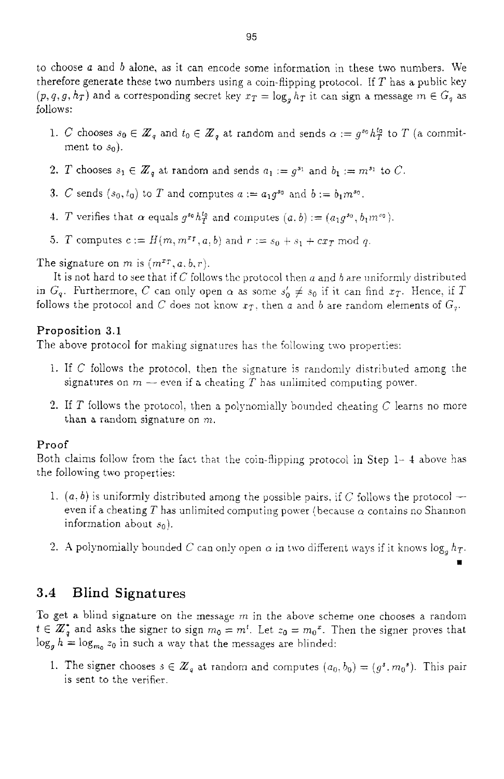*to* choose *a* and *b* alone, as it can encode some information in these two numbers. We therefore generate these two numbers using a coin-flipping protocol. If *T* has a puhiic key  $(p, q, g, h_T)$  and a corresponding secret key  $x_T = \log_a h_T$  it can sign a message  $m \in G_q$  as follows:

- 1. *C* chooses  $s_0 \in \mathbb{Z}_q$  and  $t_0 \in \mathbb{Z}_q$  at random and sends  $\alpha := g^{s_0} h_T^{t_0}$  to *T* (a commitment to  $s_0$ ).
- 2. *T* chooses  $s_1 \in \mathbb{Z}_q$  at random and sends  $a_1 := g^{s_1}$  and  $b_1 := m^{s_1}$  to C.
- **3.** *C* sends  $(s_0, t_0)$  to T and computes  $a := a_1 g^{s_0}$  and  $b := b_1 m^{s_0}$ .
- 4. *T* verifies that  $\alpha$  equals  $g^{s_0} h_T^{t_0}$  and computes  $(a, b) := (a_1 g^{s_0}, b_1 m^{s_0}).$
- 5. *T* computes  $c := H(m, m^{r})$ , *a*, *b*) and  $r := s_0 + s_1 + c x_T \mod q$ .

The signature on *m* is  $(m^{x_T}, a, b, r)$ .

It is not hard to see that if *C* follows thc protocol then *a* and *h* nre uniformly distributed in  $G_q$ . Furthermore, C can only open  $\alpha$  as some  $s'_0 \neq s_0$  if it can find  $x_T$ . Hence, if T follows the protocol and *C* does not know  $x_T$ , then a and *b* are random elements of  $G_T$ .

#### Proposition **3.1**

The above protocol for making signatures has the following two properties:

- 1. If C follows the protocol, then the signature is randomly distributed among the signatures on  $m \rightarrow$  even if a cheating  $T$  has unlimited computing power.
- 2. If *T* follows the protocol, then a poljmomially bounded cheating *C* learns no more than a raridom signature on *m.*

#### Proof

Both claims follow from the fact that the coin-flipping protocol in Step 1- **4** above has the following two properties:

- 1.  $(a, b)$  is uniformly distributed among the possible pairs, if C follows the protocol  $$ even if a cheating T has unlimited computing power (because  $\alpha$  contains no Shannon information about  $s_0$ ).
- 2. A polynomially bounded *C* can only open  $\alpha$  in two different ways if it knows log<sub>a</sub>  $h_T$ .

**rn** 

## **3.4** Blind Signatures

To get **a** blind signature on the message *7n* in the above scheme one chooses a random  $t \in \mathbb{Z}_q^*$  and asks the signer to sign  $m_0 = m^t$ . Let  $z_0 = m_0^x$ . Then the signer proves that  $\log_g h = \log_{m_0} z_0$  in such a way that the messages are blinded:

1. The signer chooses  $s \in \mathbb{Z}_q$  at random and computes  $(a_0, b_0) = (g^s, m_0^s)$ . This pair is sent to the verifier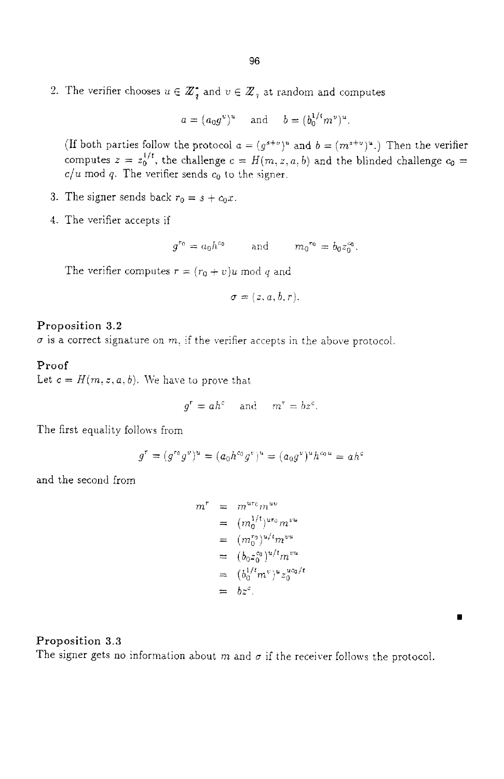2. The verifier chooses  $u \in \mathbb{Z}_q^*$  and  $v \in \mathbb{Z}_q$  at random and computes

$$
a = (a_0 g^v)^u
$$
 and  $b = (b_0^{1/t} m^v)^u$ .

(If both parties follow the protocol  $a = (g^{s+v})^u$  and  $b = (m^{s+v})^u$ .) Then the verifier computes  $z = z_0^{1/t}$ , the challenge  $c = H(m, z, a, b)$  and the blinded challenge  $c_0 =$  $c/u$  mod *q*. The verifier sends  $c_0$  to the signer.

- 3. The signer sends back  $r_0 = s + c_0 x$ .
- **4.** The verifier accepts if

$$
g^{r_0} = a_0 h^{c_0}
$$
 and  $m_0^{r_0} = b_0 z_0^{c_0}$ .

The verifier computes  $r = (r_0 + v)u \mod q$  and

$$
\sigma=(z,a,b,r).
$$

#### Proposition **3.2**

 $\sigma$  is a correct signature on  $m$ , if the verifier accepts in the above protocol.

#### Proof

Let  $c = H(m, z, a, b)$ . We have to prove that

$$
g^r = ah^c \quad \text{and} \quad m^r = bz^c.
$$

The first equality follows from

$$
g^r = (g^{r_0}g^v)^u = (a_0h^{c_0}g^v)^u = (a_0g^v)^u h^{c_0u} = ah^c
$$

and the second from

$$
m^{r} = m^{ur_0} m^{ur_0}
$$
  
=  $(m_0^{1/t})^{ur_0} m^{vu}$   
=  $(m_0^{r_0})^{u/t} m^{vu}$   
=  $(b_0 z_0^{c_0})^{u/t} m^{vu}$   
=  $(b_0^{1/t} m^{v})^{u} z_0^{uc_0/t}$   
=  $b z^{c}$ .

#### Proposition *3.3*

The signer gets no information about  $m$  and  $\sigma$  if the receiver follows the protocol.

 $\blacksquare$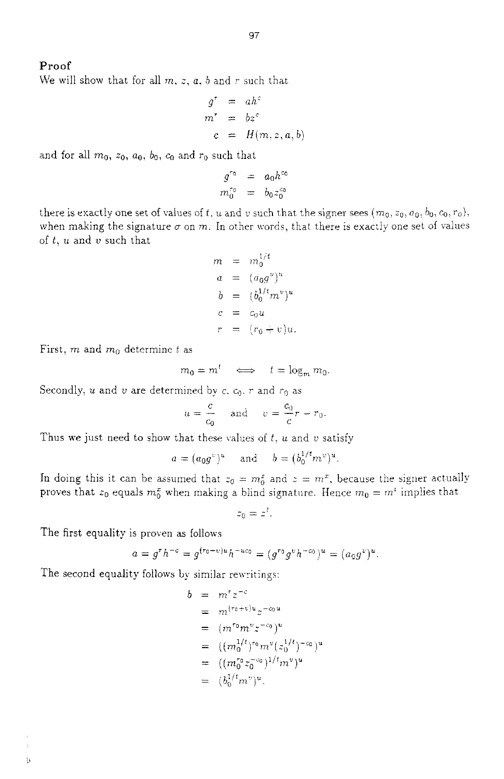#### Proof

We will show that for all  $m$ ,  $z$ ,  $a$ ,  $b$  and  $r$  such that

$$
g^r = ah^c
$$
  
\n
$$
m^r = bz^c
$$
  
\n
$$
c = H(m, z, a, b)
$$

and for all  $m_0$ ,  $z_0$ ,  $a_0$ ,  $b_0$ ,  $c_0$  and  $r_0$  such that

$$
g^{r_0} = a_0 h^{c_0}
$$
  

$$
m_0^{r_0} = b_0 z_0^{c_0}
$$

there is exactly one set of values of t, *u* and *v* such that the signer sees  $(m_0, z_0, a_0, b_0, c_0, r_0)$ , when making the signature  $\sigma$  on  $m$ . In other words, that there is exactly one set of values of *t, u* and v such that

$$
m = m_0^{1/t}
$$
  
\n
$$
a = (a_0 g^v)^u
$$
  
\n
$$
b = (b_0^{1/t} m^v)^u
$$
  
\n
$$
c = c_0 u
$$
  
\n
$$
r = (r_0 + v)u.
$$

First, *m* and *rno* determine *t* as

 $m_0 = m^t \iff t = \log_m m_0.$ 

Secondly, *u* and *v* are determined by *c*. *c*<sub>0</sub>, *r* and *r*<sub>0</sub> as  $u = \frac{c}{c}$  and  $v = \frac{c_0}{c}r - r_0$ .

$$
u = \frac{c}{c_0} \quad \text{and} \quad v = \frac{c_0}{c}r - r_0.
$$

Thus we just need to show that these values of  $t$ ,  $u$  and  $v$  satisfy

$$
a = (a_0 g^v)^u
$$
 and  $b = (b_0^{1/t} m^v)^u$ .

In doing this it can be assumed that  $z_0 = m_0^x$  and  $z = m^x$ , because the signer actually proves that  $z_0$  equals  $m_0^x$  when making a blind signature. Hence  $m_0 = m^t$  implies that

 $z_0 = z^t$ .

The first equality is proven as follows

Þ

$$
a = g^r h^{-c} = g^{(r_0+v)u} h^{-uc_0} = (g^{r_0} g^v h^{-c_0})^u = (a_0 g^v)^u.
$$

The second equality follows by similar rewritings:

$$
b = m^r z^{-c}
$$
  
=  $m^{(r_0+v)u} z^{-c_0 u}$   
=  $(m^{r_0} m^v z^{-c_0})^u$   
=  $((m_0^{r_0} r_0)^{r_0} m^v (z_0^{1/t})^{-c_0})^u$   
=  $((m_0^{r_0} z_0^{-c_0})^{1/t} m^v)^u$   
=  $(b_0^{1/t} m^v)^u$ .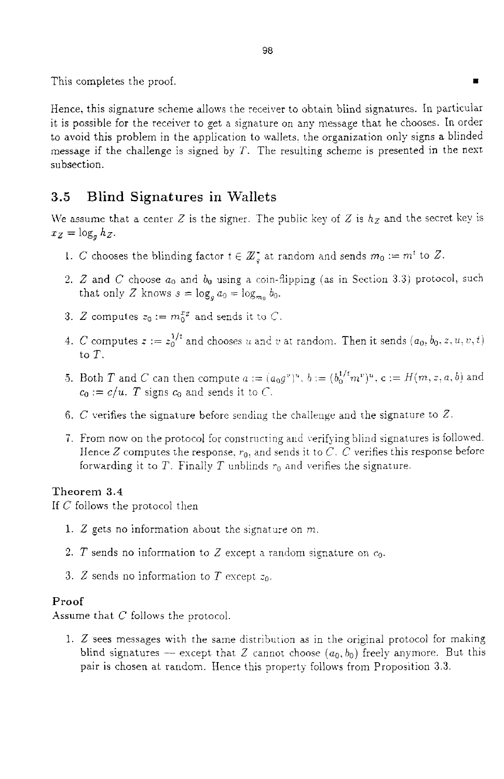This completes the proof. *8* 

Hence, this signature scheme allows the receiver to obtain blind signatures. In particular it is possible for the receiver to get a signature on any message that he chooses. In order to avoid this problem in the application to wallets, the organization only signs a blinded message if the challenge is signed by *T.* The resulting scheme is presented in the next subsection.

## **3.5** Blind Signatures in Wallets

We assume that a center  $Z$  is the signer. The public key of  $Z$  is  $h_Z$  and the secret key is  $x_Z = \log_g h_Z$ .

- **1.** *C* chooses the blinding factor  $t \in \mathbb{Z}_q^*$  at random and sends  $m_0 := m^t$  to Z.
- 2. *Z* and *C* choose  $a_0$  and  $b_0$  using a coin-flipping (as in Section 3.3) protocol, such that only *Z* knows  $s = \log_a a_0 = \log_{m_0} b_0$ .
- **3.** *Z* computes  $z_0 := m_0^{xz}$  and sends it to *C*.
- **4.** *C* computes  $z := z_0^{1/t}$  and chooses *u* and *v* at random. Then it sends  $(a_0, b_0, z, u, v, t)$ to *T.*
- **5.** Both *T* and *C* can then compute  $a := (a_0 g^v)^u$ ,  $b := (b_0^{1/t} m^v)^u$ ,  $c := H(m, z, a, b)$  and  $c_0 := c/u$ . *T* signs  $c_0$  and sends it to *C*.
- 6. *C* verifies the signature before sending the challenge and the signature to Z.
- 7. From now on the protocol for constructing and verifying blind signatures is followed. Hence  $Z$  computes the response,  $r_0$ , and sends it to  $C$ .  $C$  verifies this response before forwarding it to *T*. Finally *T* unblinds  $r_0$  and verifies the signature.

#### Theorem **3.4**

If *C* follows the protocol then

- 1. *2* gets no information about the signature on m.
- *2.* T sends no iriformation to *Z* except a random signature on *ro.*
- 3.  $Z$  sends no information to  $T$  except  $z_0$ .

#### Proof

Assume that *C* follows the protocol.

1. *Z* sees messages with the same distribution as in the original protocol for making blind signatures — except that *Z* cannot choose  $(a_0, b_0)$  freely anymore. But this pair is chosen at random. Hence this property follows from Proposition **3.3.**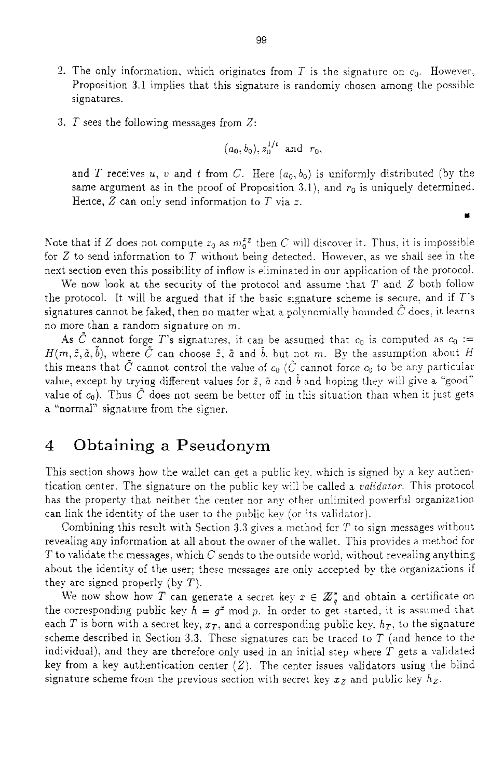- 2. The only information, which originates from  $T$  is the signature on  $c_0$ . However, Proposition **3.1** implies that this signature is randomly chosen among the possible signatures.
- **3.** *T* sees the following messages from 2:

$$
(a_0, b_0), z_0^{1/t}
$$
 and  $r_0$ ,

and *T* receives *u*, *v* and *t* from *C*. Here  $(a_0, b_0)$  is uniformly distributed (by the same argument **as** in the proof of Proposition **3.1),** and *r0* is uniquely determined. Hence, Z can only send information to *T* via *z.* 

*8* 

Note that if *Z* does not compute  $z_0$  as  $m_0^{z}$  then *C* will discover it. Thus, it is impossible for  $Z$  to send information to  $T$  without being detected. However, as we shall see in the next section even this possibility of inflow is eliminated in our application of the protocol.

We now look at the security of the protocol and assume that  $T$  and  $Z$  both follow the protocol. It will be argued that if the basic signature scheme is secure, and if *T*'s signatures cannot be faked, then no matter what a polynominlly bounded *6* does: it learns no more than a random signature on m.

As  $\tilde{C}$  cannot forge T's signatures, it can be assumed that  $c_0$  is computed as  $c_0 :=$  $H(m, \tilde{z}, \tilde{a}, \tilde{b})$ , where  $\tilde{C}$  can choose  $\tilde{z}$ ,  $\tilde{a}$  and  $\tilde{b}$ , but not *m*. By the assumption about H this means that  $\tilde{C}$  cannot control the value of  $c_0$  ( $\tilde{C}$  cannot force  $c_0$  to be any particular value, except by trying different values for 5: **6** and *b* and hoping they will give a "good" value of  $c_0$ ). Thus  $\tilde{C}$  does not seem be better off in this situation than when it just gets a ''normal" signature from the signer.

# **4** Obtaining **a** Pseudonym

This section shows how the wallet can get a public key. which is signed by a key authentication center. The signature on the public key will be called a *validator*. This protocol has the property that neither the center nor any other unlimited powerful organization can link the identity of the user to the public key (or its validator).

Combining this result with Section *3.3* gives a method for *T* to sign messages without revealing any information at all about the owner of the wallet. This provides a method for *T* to validate the messages, which C sends to the outside world: without revealing anything about the identity of the user; these messages are only accepted by the organizations if they arc signed properly (by *T).* 

We now show how *T* can generate a secret key  $x \in \mathbb{Z}_q^*$  and obtain a certificate on the corresponding public key  $h = g^x \mod p$ . In order to get started, it is assumed that each *T* is born with a secret key,  $x_T$ , and a corresponding public key,  $h_T$ , to the signature scheme described in Section *3.3.* These signatures can be traced to *T* (and hence to the individual), and they are therefore only used in an initial step where *T* gets a validated key from a key authentication center  $(Z)$ . The center issues validators using the blind signature scheme from the previous section with secret key  $x<sub>Z</sub>$  and public key  $h<sub>Z</sub>$ .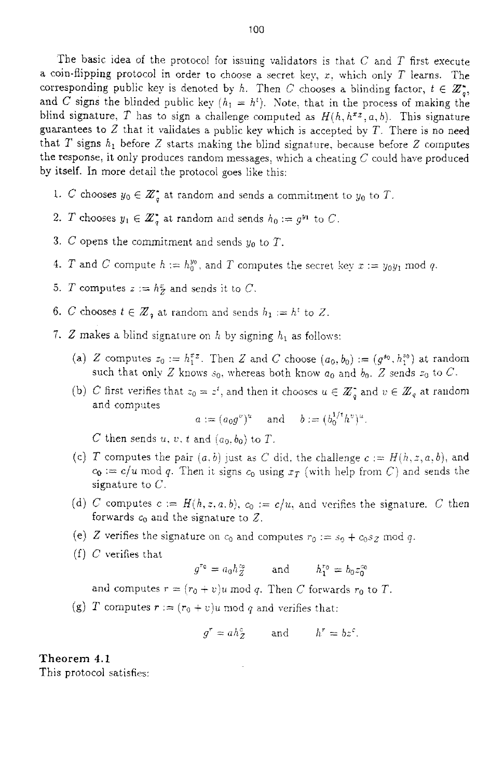The basic idea of the protocol for issuing validators is that C and *T* first execute a coin-flipping protocol in order to choose a secret key, z. which only *T* learns. The corresponding public key is denoted by h. Then *C* chooses a blinding factor,  $t \in \mathbb{Z}_q^*$ , and *C* signs the blinded public key  $(h_1 = h^t)$ . Note, that in the process of making the blind signature, *T* has to sign a challenge computed as  $H(h, h^{xz}, a, b)$ . This signature guarantees to *2* that it validates a public **key** which is accepted by *T.* There is no need that *T* signs  $h_1$  before *Z* starts making the blind signature, because before *Z* computes the response, it only produces random messages, which a cheating *C* could have produced by itself. In more detail the protocol goes like this:

- 1. C chooses  $y_0 \in \mathbb{Z}_q^*$  at random and sends a commitment to  $y_0$  to T.
- 2. *T* chooses  $y_1 \in \mathbb{Z}_q^*$  at random and sends  $h_0 := g^{y_1}$  to C.
- **3.**  $C$  opens the commitment and sends  $y_0$  to  $T$ .
- **4.** *T* **and** *C* **compute**  $h := h_0^{y_0}$ **, and** *T* **computes the secret key**  $x := y_0 y_1 \text{ mod } q$ **.**
- 5. *T* computes  $z := h_Z^z$  and sends it to *C*.
- 6. *C* chooses  $t \in \mathbb{Z}_q$  at random and sends  $h_1 := h^t$  to Z.
- 7. Z makes a blind signature on h by signing  $h_1$  as follows:
	- (a) *Z* computes  $z_0 := h_1^{xz}$ . Then *Z* and *C* choose  $(a_0, b_0) := (g^{s_0}, h_1^{s_0})$  at random such that only Z knows  $s_0$ , whereas both know  $a_0$  and  $b_0$ . Z sends  $z_0$  to C.
	- (b) C first verifies that  $z_0 = z^t$ , and then it chooses  $u \in \mathbb{Z}_q^*$  and  $v \in \mathbb{Z}_q$  at random and computes

$$
a := (a_0 g^v)^u
$$
 and  $b := (b_0^{1/t} h^v)^u$ .

*C* then sends  $u, v, t$  and  $(a_0, b_0)$  to  $T$ .

- (c) *T* computes the pair  $(a, b)$  just as *C* did, the challenge  $c := H(h, z, a, b)$ , and  $c_0 := c/u \mod q$ . Then it signs  $c_0$  using  $x_T$  (with help from C) and sends the signature to  $C$ .
- (d) C computes  $c := H(h, z, a, b)$ ,  $c_0 := c/u$ , and verifies the signature. C then forwards  $c_0$  and the signature to  $Z$ .
- (e) *Z* verifies the signature on  $c_0$  and computes  $r_0 := s_0 + c_0 s_Z$  mod *q*.
- (f) *C* verifies chat

$$
g^{r_0} = a_0 h_Z^{\varepsilon_0} \qquad \text{and} \qquad h_1^{r_0} = b_0 z_0^{\varepsilon_0}
$$

and computes  $r = (r_0 + v)u \mod q$ . Then *C* forwards  $r_0$  to *T*.

(g) T computes  $r := (r_0 + v)u \mod q$  and verifies that:

$$
g^r = ah_Z^c \qquad \text{and} \qquad h^r = bz^c.
$$

Theorem **4.1** 

This protocol satisfies: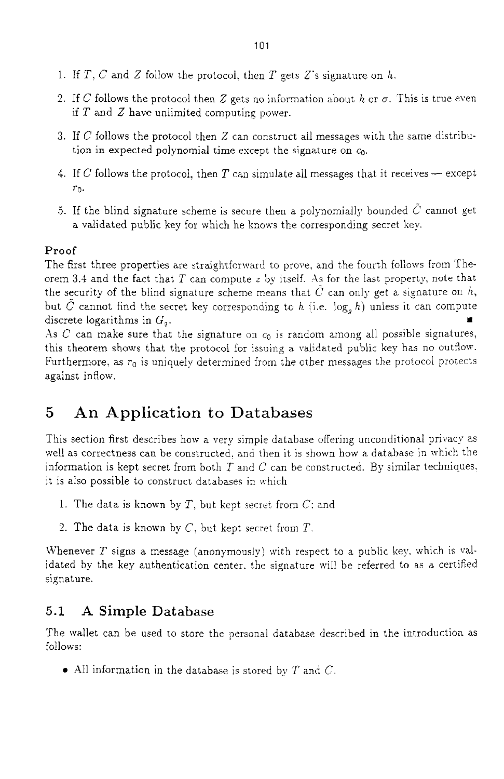- 1. If *T*, *C* and *Z* follow the protocol, then *T* gets *Z*'s signature on *h*.
- 2. If *C* follows the protocol then *2* gets no information about h or *G-.* This is true even if *T* and *2* have unlimited computing power.
- **3.** If *C* follows the protocol then *Z* can construct all messages with the same distribution in expected polynomial time except the signature on  $c<sub>0</sub>$ .
- **4.** If *C* follows the protocol, then *T* can simulate all messages that it receives escept *TO.*
- 5. If the blind signature scheme is secure then a polynomially bounded  $\bar{C}$  cannot get a validated public key for which he knows the corresponding secret key.

## **Proof**

The first three properties are straightforward to prove, and the fourth follows from Theorem 3.1 and the fact that *T* can compute *z* by itself. **.As** for the last property, note that the security of the blind signature scheme means that  $\tilde{C}$  can only get a signature on  $h$ , but  $\tilde{C}$  cannot find the secret key corresponding to h (i.e. log<sub>a</sub> h) unless it can compute discrete logarithms in  $G_q$ .

As *C* can make sure that the signature on  $c_0$  is random among all possible signatures, this theorem shows that the protocol for issuing a validated public key has no outflow. Furthermore, as  $r_0$  is uniquely determined from the other messages the protocol protects against inflow.

# **5 An Application** to Databases

This section first describes how a very simple database offering unconditional privacy as well as correctness can be constructed, and then it is shown how a database in which the information is kept secret from both *T* and *C* can be constructed. By similar techniques. *it* is also possible to construct databases in which

- 1. The data is known by  $T$ , but kept secret from  $C$ : and
- 2. The data is known by C. but kept secret from *T.*

Whenever  $T$  signs a message (anonymously) with respect to a public key, which is validated by the key authentication center, the signature will be referred to as a certified signature.

# **5.1 A Simple Database**

The wallet can be used to store the personal database described in the introduction **a**  iollows:

 $\bullet$  All information in the database is stored by  $T$  and  $C$ .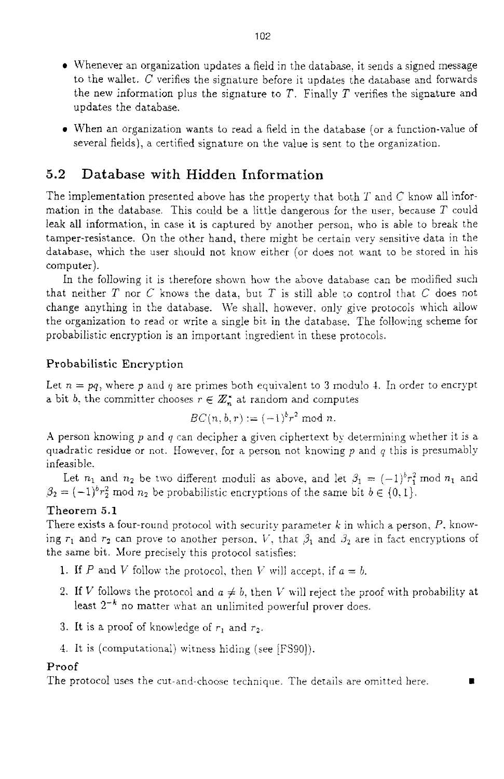- Whenever an organization updates a field in the database: it sends a signed message to the wallet.  $C$  verifies the signature before it updates the database and forwards the new information plus the signature to  $T$ . Finally  $T$  verifies the signature and updates the database.
- When an organization wants to read a field in the database (or a function-value of several fields), a certified signature on the value is sent to the organization.

## *5.2* **Database with** Hidden Information

The implementation presented above has the property that hah *T* and *C* know all information in the database. This could be a little dangerous for the user; because *T* could leak all information, in case it is captured by another person, who is able to break the tamper-resistance. On the other hand, there might be certain very sensitive data in the database, which the user should not know either (or does not want to be stored in his computer).

In the following it is therefore shown how the above database can be modified such that neither *T* nor *C* knows the data, but *T* is still able to control that *C* does not change anything in the database. We shall, however. only give protocols which allow the organization to read or write a single bit in the database. The following scheme for probabilistic encryption is an important ingredient in these protocols.

### Probabilistic Encryption

Let  $n = pq$ , where p and q are primes both equivalent to 3 modulo 4. In order to encrypt a bit *b*, the committer chooses  $r \in \mathbb{Z}_n^*$  at random and computes

$$
BC(n, b, r) := (-1)^b r^2 \bmod n.
$$

**A** person knowing *p* and *q* can decipher a given ciphertext by determining ivhether it is a. quadratic residue or not. However, for a person not knowing *p* and *q* this is presumably infeasible.

Let  $n_1$  and  $n_2$  be two different moduli as above, and let  $\beta_1 = (-1)^b r_1^2 \text{ mod } n_1$  and  $\beta_2 = (-1)^b r_2^2$  mod  $n_2$  be probabilistic encryptions of the same bit  $b \in \{0, 1\}$ .

#### Theorem 5.1

There exists a four-round protocol with securit,y parameter *k* in which a person, *P.* knowing  $r_1$  and  $r_2$  can prove to another person. V, that  $\beta_1$  and  $\beta_2$  are in fact encryptions of the same bit. More precisely this protocol satisfies:

- 1. If *P* and *V* follow the protocol, then *V* will accept, if  $a = b$ .
- 2. If V follows the protocol and  $a \neq b$ , then V will reject the proof with probability at least *2-k* no matter what an unlimited powerful prover does.
- **3.** It is a proof of knowledge of  $r_1$  and  $r_2$ .
- 4. It is (computationai) witness hiding (see [FSSO]).

#### Proof

The protocol uses the cut-and-choose technique. The details are omitted here.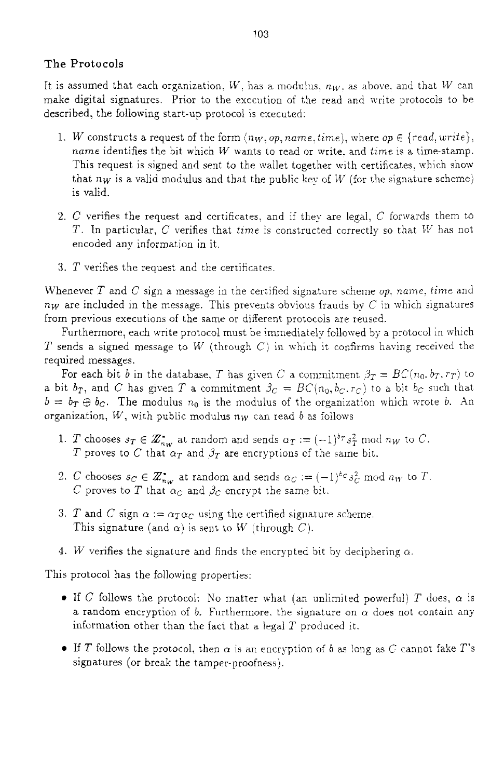### **The Protocols**

It is assumed that each organization. W, has a modulus,  $n_W$ , as above. and that W can make digital signatures. Prior to the execution of the read and write protocols to be described, the following start-up protocol is executed:

- 1. *W* constructs a request of the form  $(n_W, op, name, time)$ , where  $op \in \{read, write\}$ , *name* identifies thc bit which *W* wants to read or write. and *time* is a time-stamp. This request is signed and sent to the wallet together with certificates, which show that  $n_W$  is a valid modulus and that the public key of W (for the signature scheme) is valid.
- 2. C verifies the request and certificates, and if they are legal, C forwards them to *T.* In particular, C verifies that *time* is constructed correctly so that IV has not encoded any information in it.
- **3.** *T* verifies the request and the certificates.

Whenever *T* and *C* sign a message in the certified signature scheme *op. name,* time and *nw* are included in the message. This prevents obvious frauds by C in which signatures from previous executions of the same or different protocols are reused.

Furthermore, each write protocol must be immediately followed by a protocol in which *T* sends a signed message to W (through C) in which it confirms having received the required messages.

For each bit *b* in the database, *T* has given *C* a commitment  $\beta_T = BC(n_0, b_T, r_T)$  to a bit  $b_T$ , and *C* has given *T* a commitment  $\beta_C = BC(n_0, b_C, r_C)$  to a bit  $b_C$  such that  $b = b_T \oplus b_C$ . The modulus  $n_0$  is the modulus of the organization which wrote *b*. An organization, W, with public modulus  $n_W$  can read *b* as follows

- 1. *T* chooses  $s_T \in \mathbb{Z}_{nw}^*$  at random and sends  $\alpha_T := (-1)^{b_T} s_T^2$  mod  $n_W$  to *C*. *T* proves to *C* that  $\alpha_T$  and  $\beta_T$  are encryptions of the same bit.
- 2. *C* chooses  $s_C \in \mathbb{Z}_{n_W}^*$  at random and sends  $\alpha_C := (-1)^{i_C} s_C^2 \mod n_W$  to *T*. *C* proves to *T* that  $\alpha_G$  and  $\beta_G$  encrypt the same bit.
- **3.** *T* and *C* sign  $\alpha := \alpha_T \alpha_C$  using the certified signature scheme. This signature (and  $\alpha$ ) is sent to W (through C).
- 4. W verifies the signature and finds the encrypted bit by deciphering  $\alpha$ .

This protocol has the following properties:

- If *C* follows the protocol: No matter what (an unlimited powerful) *T* does,  $\alpha$  is a random encryption of *b*. Furthermore, the signature on  $\alpha$  does not contain any information other than the fact that a legal *T* produced it.
- If *T* follows the protocol, then  $\alpha$  is an encryption of *b* as long as *C* cannot fake *T*'s signatures (or break the tamper-proofness).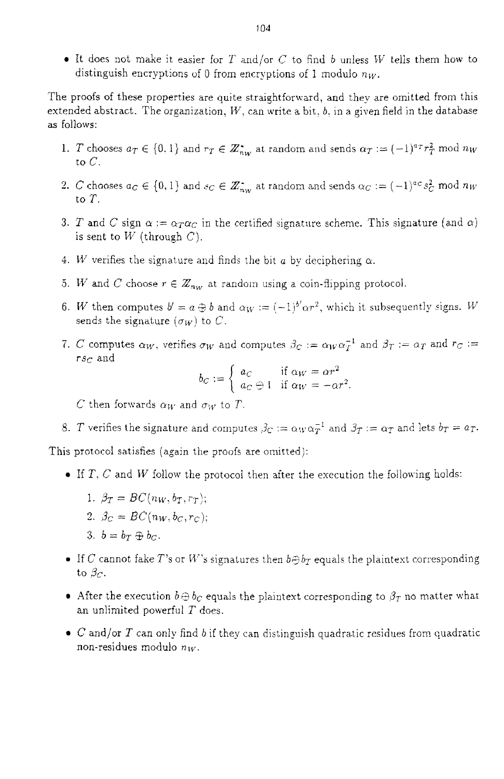$\bullet$  It does not make it easier for *T* and/or *C* to find *b* unless *W* tells them how to distinguish encryptions of 0 from encryptions of 1 modulo  $n_w$ .

The proofs of these properties are quite straightforward, and they are omitted from this extended abstract. The organization,  $W$ , can write a bit,  $b$ , in a given field in the database **as** follows:

- 1. *T* chooses  $a_T \in \{0,1\}$  and  $r_T \in \mathbb{Z}_{nw}^*$  at random and sends  $\alpha_T := (-1)^{a_T} r_T^2 \mod n_W$ to *c.*
- 2. *C* chooses  $a_C \in \{0,1\}$  and  $s_C \in \mathbb{Z}_{nw}^*$  at random and sends  $\alpha_C := (-1)^{a_C} s_C^2$  mod  $n_W$ to *T.*
- 3. *T* and *C* sign  $\alpha := \alpha_T \alpha_C$  in the certified signature scheme. This signature (and  $\alpha$ ) is sent to  $W$  (through  $C$ ).
- 4. W verifies the signature and finds the bit  $a$  by deciphering  $\alpha$ .
- 5. *W* and *C* choose  $r \in \mathbb{Z}_{nw}$  at random using a coin-flipping protocol.
- 6. W then computes  $b' = a \oplus b$  and  $\alpha_W := (-1)^{b'} \alpha r^2$ , which it subsequently signs. W sends the signature  $(\sigma_W)$  to C.
- 7. *C* computes  $\alpha_W$ , verifies  $\sigma_W$  and computes  $\beta_C := \alpha_W \alpha_I^{-1}$  and  $\beta_T := \alpha_T$  and  $r_C :=$ *rsc* and

$$
b_C := \begin{cases} a_C & \text{if } \alpha_W = \alpha r^2 \\ a_C \oplus 1 & \text{if } \alpha_W = -\alpha r^2. \end{cases}
$$

C then forwards  $\alpha_W$  and  $\sigma_W$  to T.

8. T verifies the signature and computes  $\beta_C := \alpha_W \alpha_T^{-1}$  and  $\beta_T := \alpha_T$  and lets  $b_T = a_T$ .

This protocol satisfies (again the proofs are omitted):

- If *T*, *C* and *W* follow the protocol then after the execution the following holds:
	- 1.  $\beta_T = BC(n_W, b_T, r_T)$ ;
	- 2.  $\beta_C = BC(n_W, b_C, r_C);$
	- 3.  $b = b_T \oplus b_C$ .
- If *C* cannot fake *T*'s or *W*'s signatures then  $b \oplus b_T$  equals the plaintext corresponding to  $\beta_C$ .
- After the execution  $b \oplus b_C$  equals the plaintext corresponding to  $\beta_T$  no matter what an unlimited powerful *T* does.
- C and/or T can only find b if they can distinguish quadratic residues from quadratic non-residues modulo  $n_W$ .